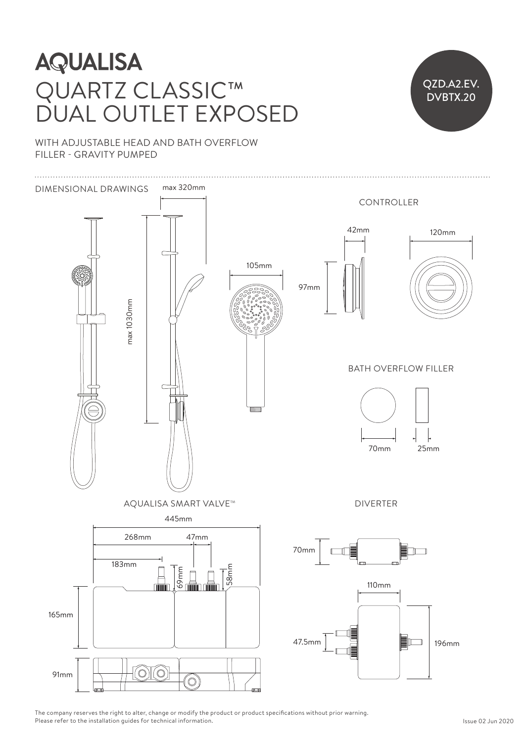# QUARTZ CLASSIC™ DUAL OUTLET EXPOSED LAJJIL **Julian State AQUALISA**  $\frac{d}{dt}$



WITH ADJUSTABLE HEAD AND BATH OVERFLOW FILLER - GRAVITY PUMPED



The company reserves the right to alter, change or modify the product or product specifications without prior warning. Please refer to the installation guides for technical information.